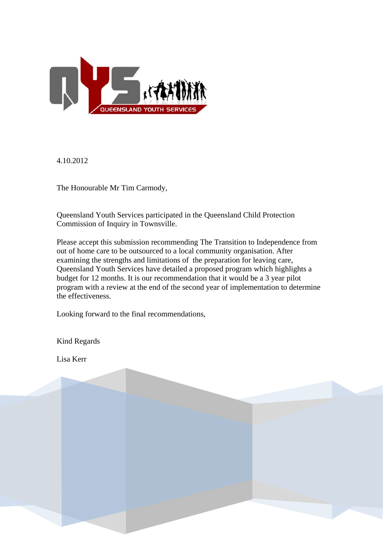

4.10.2012

The Honourable Mr Tim Carmody,

Queensland Youth Services participated in the Queensland Child Protection Commission of Inquiry in Townsville.

Please accept this submission recommending The Transition to Independence from out of home care to be outsourced to a local community organisation. After examining the strengths and limitations of the preparation for leaving care, Queensland Youth Services have detailed a proposed program which highlights a budget for 12 months. It is our recommendation that it would be a 3 year pilot program with a review at the end of the second year of implementation to d etermine the effectiveness.

Looking forward to the final recommendations,

Kind Regards

Lisa Kerr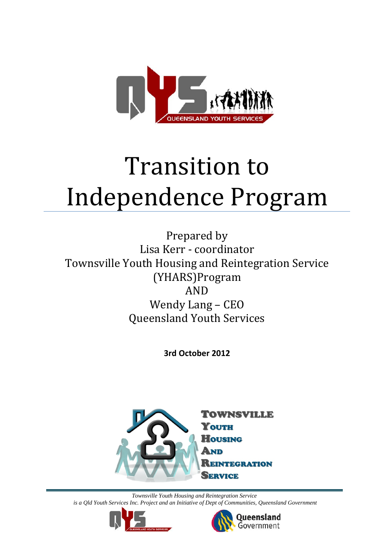

# Transition to Independence Program

Prepared by Lisa Kerr ‐ coordinator Townsville Youth Housing and Reintegration Service (YHARS)Program AND Wendy Lang – CEO Queensland Youth Services

**3rd October 2012**



*Townsville Youth Housing and Reintegration Service is a Qld Youth Services Inc. Project and an Initiative of Dept of Communities, Queensland Government* 



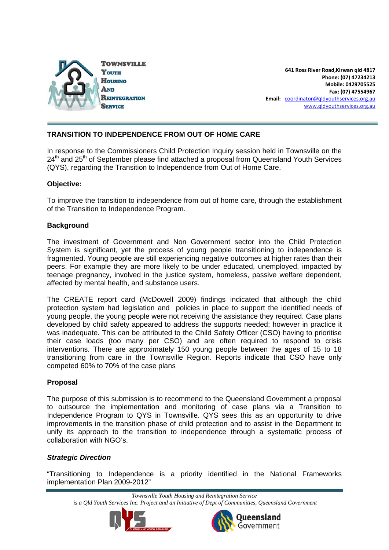

**Mobile: 0429705525 Fax: (07) 47554967 Email:** [coordinator@qldyouthservices.org.au](mailto:coordinator@qldyouthservices.org.au) [www.qldyouthservices.org.au](http://www.qldyouthservices.org.au/) **Phone: (07) 47234213 641 Ross River Road,Kirwan qld 4817**

#### **TRANSITION TO INDEPENDENCE FROM OUT OF HOME CARE**

In response to the Commissioners Child Protection Inquiry session held in Townsville on the  $24<sup>th</sup>$  and  $25<sup>th</sup>$  of September please find attached a proposal from Queensland Youth Services (QYS), regarding the Transition to Independence from Out of Home Care.

#### **Objective:**

To improve the transition to independence from out of home care, through the establishment of the Transition to Independence Program.

#### **Background**

The investment of Government and Non Government sector into the Child Protection System is significant, yet the process of young people transitioning to independence is fragmented. Young people are still experiencing negative outcomes at higher rates than their peers. For example they are more likely to be under educated, unemployed, impacted by teenage pregnancy, involved in the justice system, homeless, passive welfare dependent, affected by mental health, and substance users.

The CREATE report card (McDowell 2009) findings indicated that although the child protection system had legislation and policies in place to support the identified needs of young people, the young people were not receiving the assistance they required. Case plans developed by child safety appeared to address the supports needed; however in practice it was inadequate. This can be attributed to the Child Safety Officer (CSO) having to prioritise their case loads (too many per CSO) and are often required to respond to crisis interventions. There are approximately 150 young people between the ages of 15 to 18 transitioning from care in the Townsville Region. Reports indicate that CSO have only competed 60% to 70% of the case plans

#### **Proposal**

The purpose of this submission is to recommend to the Queensland Government a proposal to outsource the implementation and monitoring of case plans via a Transition to Independence Program to QYS in Townsville. QYS sees this as an opportunity to drive improvements in the transition phase of child protection and to assist in the Department to unify its approach to the transition to independence through a systematic process of collaboration with NGO's.

#### *Strategic Direction*

"Transitioning to Independence is a priority identified in the National Frameworks implementation Plan 2009-2012"

*Townsville Youth Housing and Reintegration Service* 

*is a Qld Youth Services Inc. Project and an Initiative of Dept of Communities, Queensland Government* 



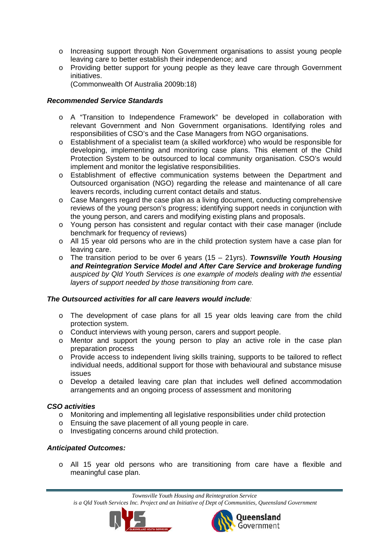- o Increasing support through Non Government organisations to assist young people leaving care to better establish their independence; and
- o Providing better support for young people as they leave care through Government initiatives.

(Commonwealth Of Australia 2009b:18)

#### *Recommended Service Standards*

- o A "Transition to Independence Framework" be developed in collaboration with relevant Government and Non Government organisations. Identifying roles and responsibilities of CSO's and the Case Managers from NGO organisations.
- o Establishment of a specialist team (a skilled workforce) who would be responsible for developing, implementing and monitoring case plans. This element of the Child Protection System to be outsourced to local community organisation. CSO's would implement and monitor the legislative responsibilities.
- o Establishment of effective communication systems between the Department and Outsourced organisation (NGO) regarding the release and maintenance of all care leavers records, including current contact details and status.
- $\circ$  Case Mangers regard the case plan as a living document, conducting comprehensive reviews of the young person's progress; identifying support needs in conjunction with the young person, and carers and modifying existing plans and proposals.
- o Young person has consistent and regular contact with their case manager (include benchmark for frequency of reviews)
- o All 15 year old persons who are in the child protection system have a case plan for leaving care.
- o The transition period to be over 6 years (15 21yrs). *Townsville Youth Housing and Reintegration Service Model and After Care Service and brokerage funding auspiced by Qld Youth Services is one example of models dealing with the essential layers of support needed by those transitioning from care.*

#### *The Outsourced activities for all care leavers would include:*

- o The development of case plans for all 15 year olds leaving care from the child protection system.
- o Conduct interviews with young person, carers and support people.
- o Mentor and support the young person to play an active role in the case plan preparation process
- o Provide access to independent living skills training, supports to be tailored to reflect individual needs, additional support for those with behavioural and substance misuse issues
- o Develop a detailed leaving care plan that includes well defined accommodation arrangements and an ongoing process of assessment and monitoring

#### *CSO activities*

- o Monitoring and implementing all legislative responsibilities under child protection
- o Ensuing the save placement of all young people in care.
- o Investigating concerns around child protection.

#### *Anticipated Outcomes:*

o All 15 year old persons who are transitioning from care have a flexible and meaningful case plan.

*Townsville Youth Housing and Reintegration Service* 

*is a Qld Youth Services Inc. Project and an Initiative of Dept of Communities, Queensland Government* 



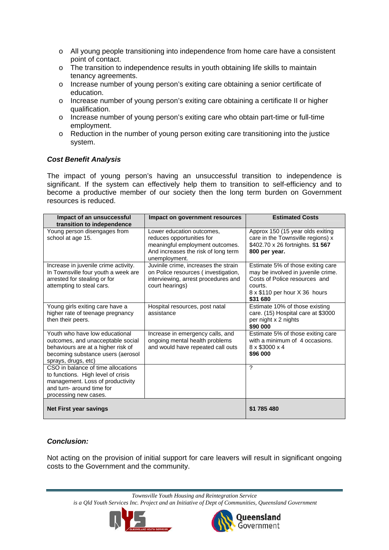- o All young people transitioning into independence from home care have a consistent point of contact.
- o The transition to independence results in youth obtaining life skills to maintain tenancy agreements.
- o Increase number of young person's exiting care obtaining a senior certificate of education.
- o Increase number of young person's exiting care obtaining a certificate II or higher qualification.
- o Increase number of young person's exiting care who obtain part-time or full-time employment.
- $\circ$  Reduction in the number of young person exiting care transitioning into the justice system.

#### *Cost Benefit Analysis*

The impact of young person's having an unsuccessful transition to independence is significant. If the system can effectively help them to transition to self-efficiency and to become a productive member of our society then the long term burden on Government resources is reduced.

| Impact of an unsuccessful<br>transition to independence                                                                                                               | Impact on government resources                                                                                                                    | <b>Estimated Costs</b>                                                                                                                                           |
|-----------------------------------------------------------------------------------------------------------------------------------------------------------------------|---------------------------------------------------------------------------------------------------------------------------------------------------|------------------------------------------------------------------------------------------------------------------------------------------------------------------|
| Young person disengages from<br>school at age 15.                                                                                                                     | Lower education outcomes,<br>reduces opportunities for<br>meaningful employment outcomes.<br>And increases the risk of long term<br>unemployment. | Approx 150 (15 year olds exiting<br>care in the Townsville regions) x<br>\$402.70 x 26 fortnights. \$1 567<br>800 per year.                                      |
| Increase in juvenile crime activity.<br>In Townsville four youth a week are<br>arrested for stealing or for<br>attempting to steal cars.                              | Juvinile crime, increases the strain<br>on Police resources (investigation,<br>interviewing, arrest procedures and<br>court hearings)             | Estimate 5% of those exiting care<br>may be involved in juvenile crime.<br>Costs of Police resources and<br>courts.<br>8 x \$110 per hour X 36 hours<br>\$31 680 |
| Young girls exiting care have a<br>higher rate of teenage pregnancy<br>then their peers.                                                                              | Hospital resources, post natal<br>assistance                                                                                                      | Estimate 10% of those existing<br>care. (15) Hospital care at \$3000<br>per night x 2 nights<br>\$90 000                                                         |
| Youth who have low educational<br>outcomes, and unacceptable social<br>behaviours are at a higher risk of<br>becoming substance users (aerosol<br>sprays, drugs, etc) | Increase in emergency calls, and<br>ongoing mental health problems<br>and would have repeated call outs                                           | Estimate 5% of those exiting care<br>with a minimum of 4 occasions.<br>8 x \$3000 x 4<br>\$96 000                                                                |
| CSO in balance of time allocations<br>to functions. High level of crisis<br>management. Loss of productivity<br>and turn- around time for<br>processing new cases.    |                                                                                                                                                   | ?                                                                                                                                                                |
| <b>Net First year savings</b>                                                                                                                                         |                                                                                                                                                   | \$1 785 480                                                                                                                                                      |

#### *Conclusion:*

Not acting on the provision of initial support for care leavers will result in significant ongoing costs to the Government and the community.

*Townsville Youth Housing and Reintegration Service* 

*is a Qld Youth Services Inc. Project and an Initiative of Dept of Communities, Queensland Government* 



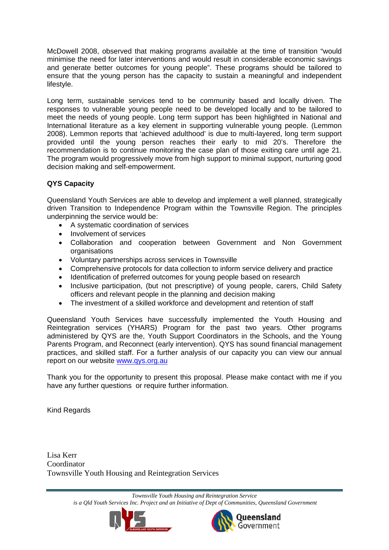McDowell 2008, observed that making programs available at the time of transition "would minimise the need for later interventions and would result in considerable economic savings and generate better outcomes for young people". These programs should be tailored to ensure that the young person has the capacity to sustain a meaningful and independent lifestyle.

Long term, sustainable services tend to be community based and locally driven. The responses to vulnerable young people need to be developed locally and to be tailored to meet the needs of young people. Long term support has been highlighted in National and International literature as a key element in supporting vulnerable young people. (Lemmon 2008). Lemmon reports that 'achieved adulthood' is due to multi-layered, long term support provided until the young person reaches their early to mid 20's. Therefore the recommendation is to continue monitoring the case plan of those exiting care until age 21. The program would progressively move from high support to minimal support, nurturing good decision making and self-empowerment.

#### **QYS Capacity**

Queensland Youth Services are able to develop and implement a well planned, strategically driven Transition to Independence Program within the Townsville Region. The principles underpinning the service would be:

- A systematic coordination of services
- Involvement of services
- Collaboration and cooperation between Government and Non Government organisations
- Voluntary partnerships across services in Townsville
- Comprehensive protocols for data collection to inform service delivery and practice
- Identification of preferred outcomes for young people based on research
- Inclusive participation, (but not prescriptive) of young people, carers, Child Safety officers and relevant people in the planning and decision making
- The investment of a skilled workforce and development and retention of staff

Queensland Youth Services have successfully implemented the Youth Housing and Reintegration services (YHARS) Program for the past two years. Other programs administered by QYS are the, Youth Support Coordinators in the Schools, and the Young Parents Program, and Reconnect (early intervention). QYS has sound financial management practices, and skilled staff. For a further analysis of our capacity you can view our annual report on our website [www.qys.org.au](http://www.qys.org.au/)

Thank you for the opportunity to present this proposal. Please make contact with me if you have any further questions or require further information.

Kind Regards

Lisa Kerr Coordinator Townsville Youth Housing and Reintegration Services

> *Townsville Youth Housing and Reintegration Service is a Qld Youth Services Inc. Project and an Initiative of Dept of Communities, Queensland Government*



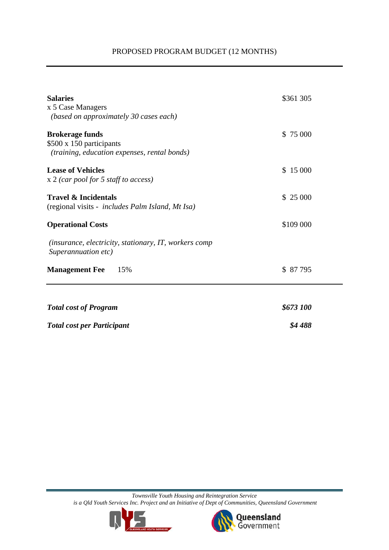#### PROPOSED PROGRAM BUDGET (12 MONTHS)

| <b>Salaries</b><br>x 5 Case Managers<br>(based on approximately 30 cases each)                     | \$361 305 |
|----------------------------------------------------------------------------------------------------|-----------|
| <b>Brokerage funds</b><br>\$500 x 150 participants<br>(training, education expenses, rental bonds) | \$75 000  |
| <b>Lease of Vehicles</b><br>$x$ 2 (car pool for 5 staff to access)                                 | \$15000   |
| <b>Travel &amp; Incidentals</b><br>(regional visits - <i>includes Palm Island, Mt Isa</i> )        | \$ 25 000 |
| <b>Operational Costs</b>                                                                           | \$109 000 |
| (insurance, electricity, stationary, IT, workers comp<br>Superannuation etc)                       |           |
| <b>Management Fee</b><br>15%                                                                       | \$ 87 795 |
|                                                                                                    |           |
| <b>Total cost of Program</b>                                                                       | \$673 100 |
| <b>Total cost per Participant</b>                                                                  | \$4488    |

*Townsville Youth Housing and Reintegration Service is a Qld Youth Services Inc. Project and an Initiative of Dept of Communities, Queensland Government* 



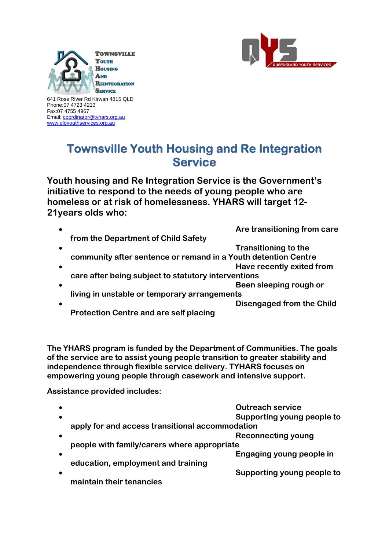



641 Ross River Rd Kirwan 4815 QLD Phone:07 4723 4213 Fax:07 4755 4967 Email: [coordinator@tyhars.org.au](mailto:coordinator@tyhars.org.au) [www.qldyouthservices.org.au](http://www.qldyouthservices.org.au/)

### **Townsville Youth Housing and Re Integration Service**

**Youth housing and Re Integration Service is the Government's initiative to respond to the needs of young people who are homeless or at risk of homelessness. YHARS will target 12- 21years olds who:** 

 **Are transitioning from care from the Department of Child Safety Transitioning to the community after sentence or remand in a Youth detention Centre Have recently exited from care after being subject to statutory interventions Been sleeping rough or a set of the set of the set of the set of the set of the set of the set of the set of the set of the set of the set of the set of the set of the set of the set of the set of the set of the set of th living in unstable or temporary arrangements Disengaged from the Child Protection Centre and are self placing** 

**The YHARS program is funded by the Department of Communities. The goals of the service are to assist young people transition to greater stability and independence through flexible service delivery. TYHARS focuses on empowering young people through casework and intensive support.** 

**Assistance provided includes:** 

|           | <b>Outreach service</b>                         |
|-----------|-------------------------------------------------|
| $\bullet$ | Supporting young people to                      |
|           | apply for and access transitional accommodation |
|           | <b>Reconnecting young</b>                       |
|           | people with family/carers where appropriate     |
|           | Engaging young people in                        |
|           | education, employment and training              |
|           | Supporting young people to                      |
|           | maintain their tenancies                        |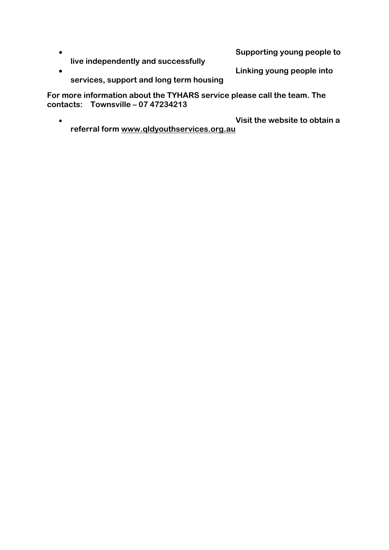**Supporting young people to live independently and successfully** 

**Linking young people into** 

**services, support and long term housing** 

**For more information about the TYHARS service please call the team. The contacts: Townsville – 07 47234213** 

 **Visit the website to obtain a referral form www.qldyouthservices.org.au**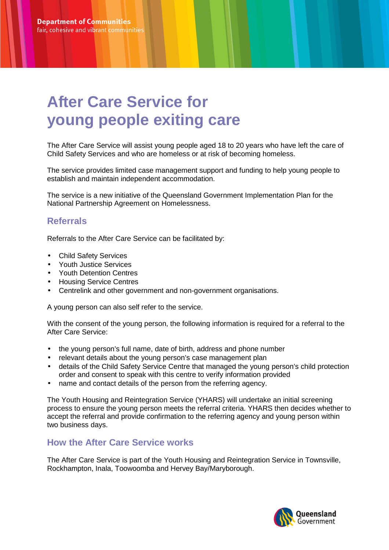## **After Care Service for young people exiting care**

The After Care Service will assist young people aged 18 to 20 years who have left the care of Child Safety Services and who are homeless or at risk of becoming homeless.

The service provides limited case management support and funding to help young people to establish and maintain independent accommodation.

The service is a new initiative of the Queensland Government Implementation Plan for the National Partnership Agreement on Homelessness.

#### **Referrals**

Referrals to the After Care Service can be facilitated by:

- Child Safety Services
- Youth Justice Services
- Youth Detention Centres
- Housing Service Centres
- Centrelink and other government and non-government organisations.

A young person can also self refer to the service.

With the consent of the young person, the following information is required for a referral to the After Care Service:

- the young person's full name, date of birth, address and phone number
- relevant details about the young person's case management plan
- details of the Child Safety Service Centre that managed the young person's child protection order and consent to speak with this centre to verify information provided
- name and contact details of the person from the referring agency.

The Youth Housing and Reintegration Service (YHARS) will undertake an initial screening process to ensure the young person meets the referral criteria. YHARS then decides whether to accept the referral and provide confirmation to the referring agency and young person within two business days.

#### **How the After Care Service works**

The After Care Service is part of the Youth Housing and Reintegration Service in Townsville, Rockhampton, Inala, Toowoomba and Hervey Bay/Maryborough.